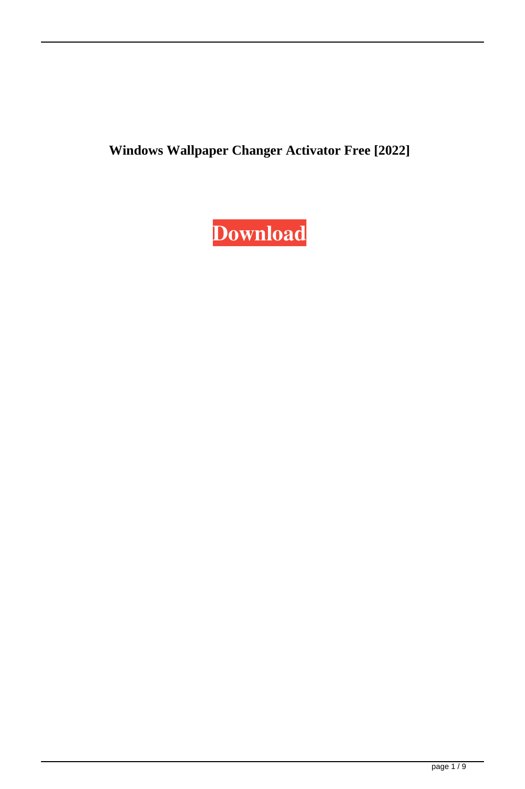**Windows Wallpaper Changer Activator Free [2022]**

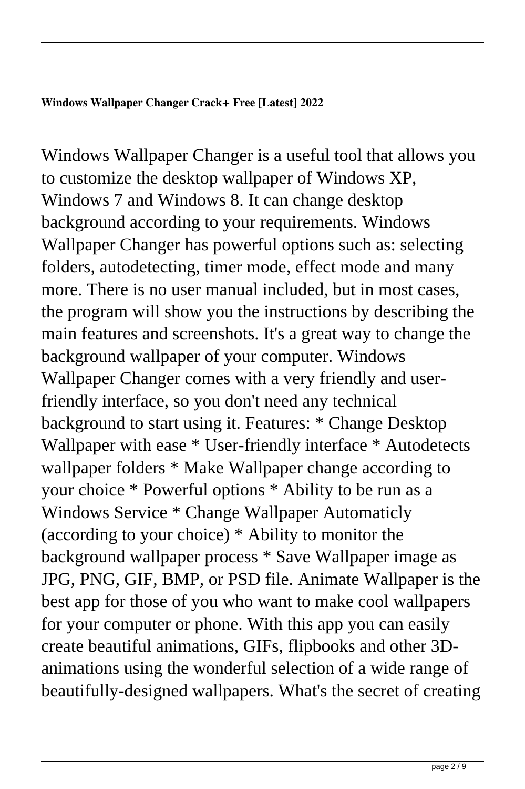## **Windows Wallpaper Changer Crack+ Free [Latest] 2022**

Windows Wallpaper Changer is a useful tool that allows you to customize the desktop wallpaper of Windows XP, Windows 7 and Windows 8. It can change desktop background according to your requirements. Windows Wallpaper Changer has powerful options such as: selecting folders, autodetecting, timer mode, effect mode and many more. There is no user manual included, but in most cases, the program will show you the instructions by describing the main features and screenshots. It's a great way to change the background wallpaper of your computer. Windows Wallpaper Changer comes with a very friendly and userfriendly interface, so you don't need any technical background to start using it. Features: \* Change Desktop Wallpaper with ease \* User-friendly interface \* Autodetects wallpaper folders \* Make Wallpaper change according to your choice \* Powerful options \* Ability to be run as a Windows Service \* Change Wallpaper Automaticly (according to your choice) \* Ability to monitor the background wallpaper process \* Save Wallpaper image as JPG, PNG, GIF, BMP, or PSD file. Animate Wallpaper is the best app for those of you who want to make cool wallpapers for your computer or phone. With this app you can easily create beautiful animations, GIFs, flipbooks and other 3Danimations using the wonderful selection of a wide range of beautifully-designed wallpapers. What's the secret of creating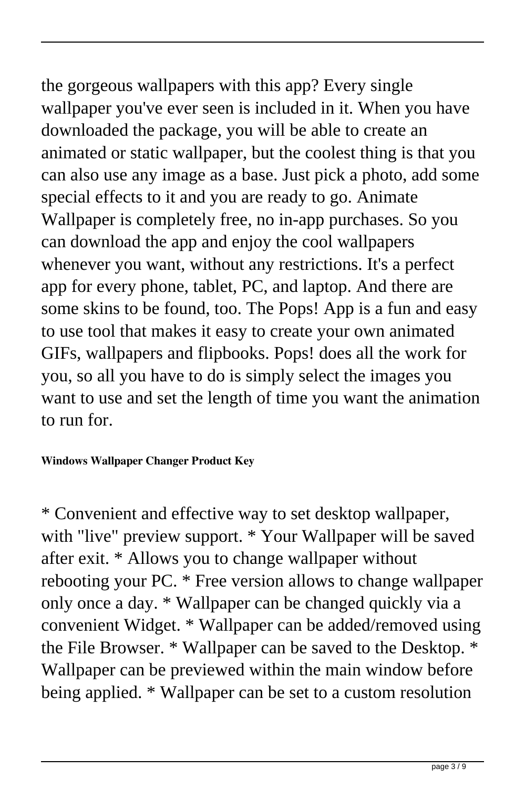the gorgeous wallpapers with this app? Every single wallpaper you've ever seen is included in it. When you have downloaded the package, you will be able to create an animated or static wallpaper, but the coolest thing is that you can also use any image as a base. Just pick a photo, add some special effects to it and you are ready to go. Animate Wallpaper is completely free, no in-app purchases. So you can download the app and enjoy the cool wallpapers whenever you want, without any restrictions. It's a perfect app for every phone, tablet, PC, and laptop. And there are some skins to be found, too. The Pops! App is a fun and easy to use tool that makes it easy to create your own animated GIFs, wallpapers and flipbooks. Pops! does all the work for you, so all you have to do is simply select the images you want to use and set the length of time you want the animation to run for.

## **Windows Wallpaper Changer Product Key**

\* Convenient and effective way to set desktop wallpaper, with "live" preview support. \* Your Wallpaper will be saved after exit. \* Allows you to change wallpaper without rebooting your PC. \* Free version allows to change wallpaper only once a day. \* Wallpaper can be changed quickly via a convenient Widget. \* Wallpaper can be added/removed using the File Browser. \* Wallpaper can be saved to the Desktop. \* Wallpaper can be previewed within the main window before being applied. \* Wallpaper can be set to a custom resolution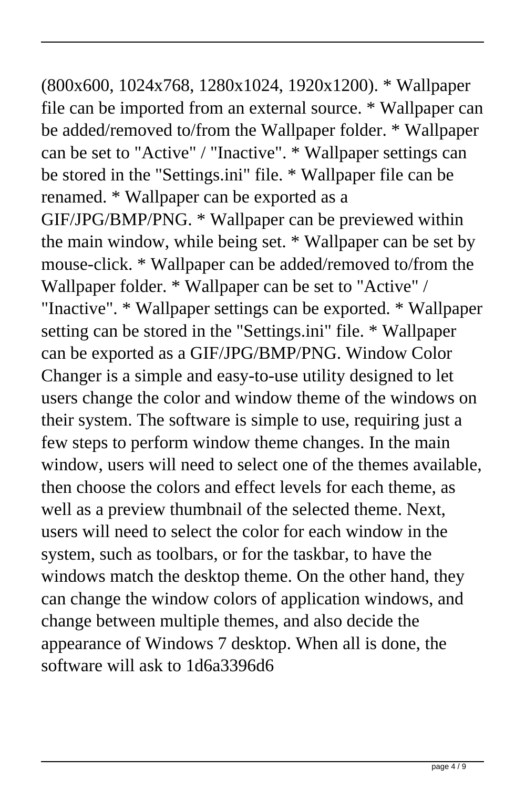## (800x600, 1024x768, 1280x1024, 1920x1200). \* Wallpaper file can be imported from an external source. \* Wallpaper can be added/removed to/from the Wallpaper folder. \* Wallpaper can be set to "Active" / "Inactive". \* Wallpaper settings can be stored in the "Settings.ini" file. \* Wallpaper file can be

renamed. \* Wallpaper can be exported as a GIF/JPG/BMP/PNG. \* Wallpaper can be previewed within the main window, while being set. \* Wallpaper can be set by mouse-click. \* Wallpaper can be added/removed to/from the Wallpaper folder. \* Wallpaper can be set to "Active" / "Inactive". \* Wallpaper settings can be exported. \* Wallpaper setting can be stored in the "Settings.ini" file. \* Wallpaper can be exported as a GIF/JPG/BMP/PNG. Window Color Changer is a simple and easy-to-use utility designed to let users change the color and window theme of the windows on their system. The software is simple to use, requiring just a few steps to perform window theme changes. In the main window, users will need to select one of the themes available, then choose the colors and effect levels for each theme, as well as a preview thumbnail of the selected theme. Next, users will need to select the color for each window in the system, such as toolbars, or for the taskbar, to have the windows match the desktop theme. On the other hand, they can change the window colors of application windows, and change between multiple themes, and also decide the appearance of Windows 7 desktop. When all is done, the software will ask to 1d6a3396d6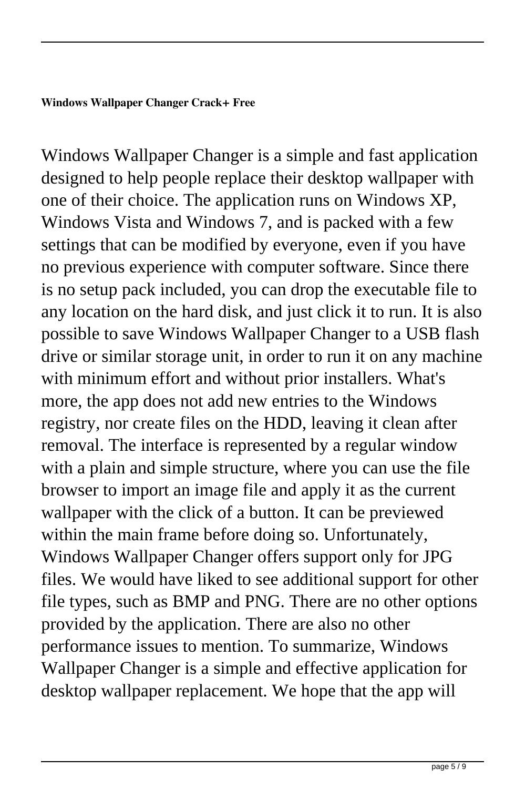Windows Wallpaper Changer is a simple and fast application designed to help people replace their desktop wallpaper with one of their choice. The application runs on Windows XP, Windows Vista and Windows 7, and is packed with a few settings that can be modified by everyone, even if you have no previous experience with computer software. Since there is no setup pack included, you can drop the executable file to any location on the hard disk, and just click it to run. It is also possible to save Windows Wallpaper Changer to a USB flash drive or similar storage unit, in order to run it on any machine with minimum effort and without prior installers. What's more, the app does not add new entries to the Windows registry, nor create files on the HDD, leaving it clean after removal. The interface is represented by a regular window with a plain and simple structure, where you can use the file browser to import an image file and apply it as the current wallpaper with the click of a button. It can be previewed within the main frame before doing so. Unfortunately, Windows Wallpaper Changer offers support only for JPG files. We would have liked to see additional support for other file types, such as BMP and PNG. There are no other options provided by the application. There are also no other performance issues to mention. To summarize, Windows Wallpaper Changer is a simple and effective application for desktop wallpaper replacement. We hope that the app will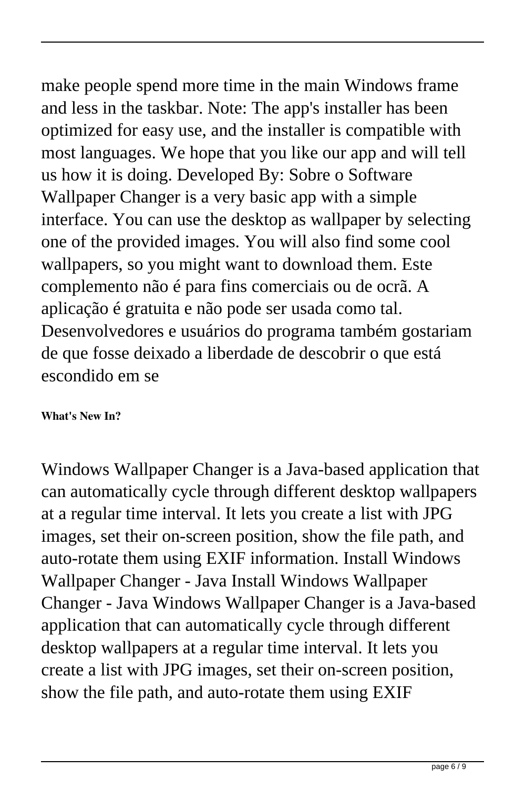make people spend more time in the main Windows frame and less in the taskbar. Note: The app's installer has been optimized for easy use, and the installer is compatible with most languages. We hope that you like our app and will tell us how it is doing. Developed By: Sobre o Software Wallpaper Changer is a very basic app with a simple interface. You can use the desktop as wallpaper by selecting one of the provided images. You will also find some cool wallpapers, so you might want to download them. Este complemento não é para fins comerciais ou de ocrã. A aplicação é gratuita e não pode ser usada como tal. Desenvolvedores e usuários do programa também gostariam de que fosse deixado a liberdade de descobrir o que está escondido em se

## **What's New In?**

Windows Wallpaper Changer is a Java-based application that can automatically cycle through different desktop wallpapers at a regular time interval. It lets you create a list with JPG images, set their on-screen position, show the file path, and auto-rotate them using EXIF information. Install Windows Wallpaper Changer - Java Install Windows Wallpaper Changer - Java Windows Wallpaper Changer is a Java-based application that can automatically cycle through different desktop wallpapers at a regular time interval. It lets you create a list with JPG images, set their on-screen position, show the file path, and auto-rotate them using EXIF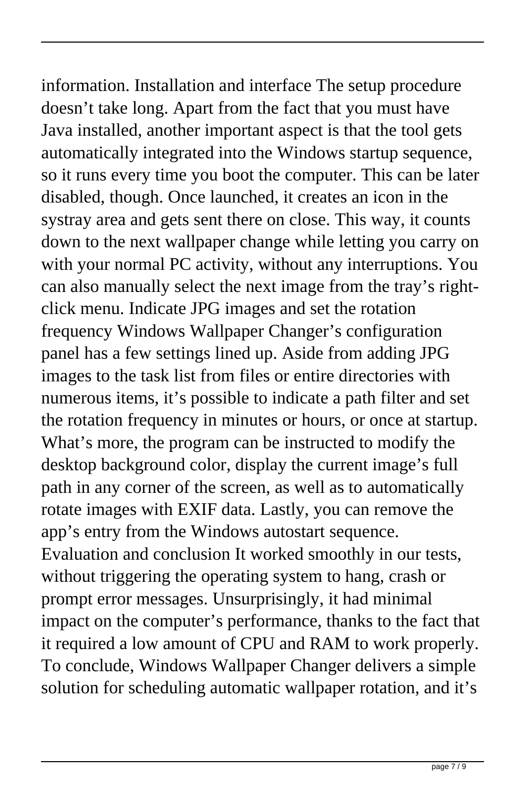information. Installation and interface The setup procedure doesn't take long. Apart from the fact that you must have Java installed, another important aspect is that the tool gets automatically integrated into the Windows startup sequence, so it runs every time you boot the computer. This can be later disabled, though. Once launched, it creates an icon in the systray area and gets sent there on close. This way, it counts down to the next wallpaper change while letting you carry on with your normal PC activity, without any interruptions. You can also manually select the next image from the tray's rightclick menu. Indicate JPG images and set the rotation frequency Windows Wallpaper Changer's configuration panel has a few settings lined up. Aside from adding JPG images to the task list from files or entire directories with numerous items, it's possible to indicate a path filter and set the rotation frequency in minutes or hours, or once at startup. What's more, the program can be instructed to modify the desktop background color, display the current image's full path in any corner of the screen, as well as to automatically rotate images with EXIF data. Lastly, you can remove the app's entry from the Windows autostart sequence. Evaluation and conclusion It worked smoothly in our tests, without triggering the operating system to hang, crash or prompt error messages. Unsurprisingly, it had minimal impact on the computer's performance, thanks to the fact that it required a low amount of CPU and RAM to work properly. To conclude, Windows Wallpaper Changer delivers a simple solution for scheduling automatic wallpaper rotation, and it's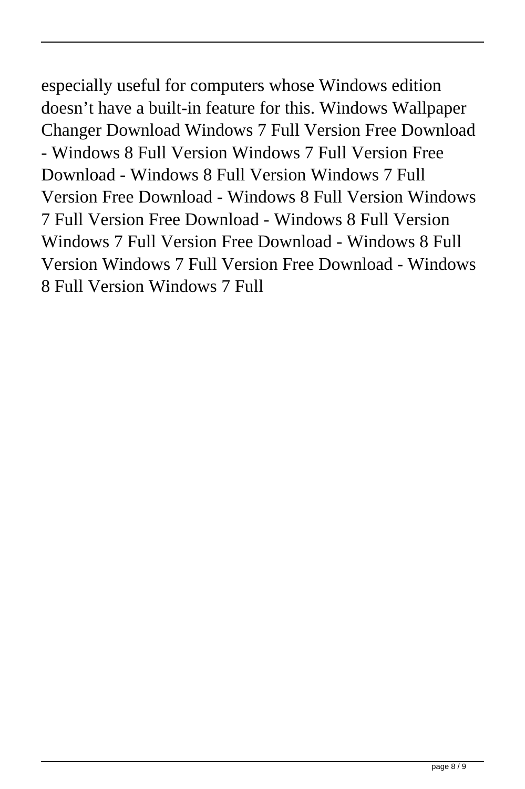especially useful for computers whose Windows edition doesn't have a built-in feature for this. Windows Wallpaper Changer Download Windows 7 Full Version Free Download - Windows 8 Full Version Windows 7 Full Version Free Download - Windows 8 Full Version Windows 7 Full Version Free Download - Windows 8 Full Version Windows 7 Full Version Free Download - Windows 8 Full Version Windows 7 Full Version Free Download - Windows 8 Full Version Windows 7 Full Version Free Download - Windows 8 Full Version Windows 7 Full